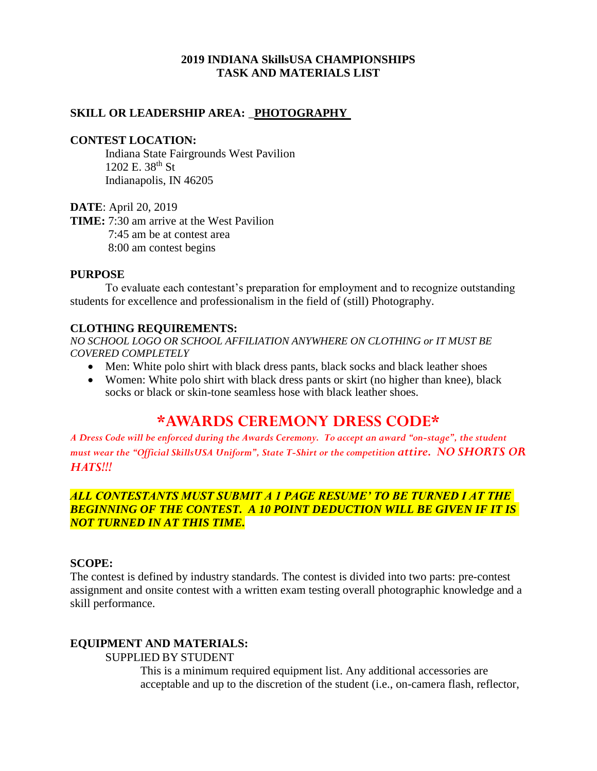#### **2019 INDIANA SkillsUSA CHAMPIONSHIPS TASK AND MATERIALS LIST**

### **SKILL OR LEADERSHIP AREA:** \_**PHOTOGRAPHY**

#### **CONTEST LOCATION:**

Indiana State Fairgrounds West Pavilion 1202 E. 38th St Indianapolis, IN 46205

**DATE**: April 20, 2019

**TIME:** 7:30 am arrive at the West Pavilion 7:45 am be at contest area 8:00 am contest begins

#### **PURPOSE**

To evaluate each contestant's preparation for employment and to recognize outstanding students for excellence and professionalism in the field of (still) Photography.

#### **CLOTHING REQUIREMENTS:**

*NO SCHOOL LOGO OR SCHOOL AFFILIATION ANYWHERE ON CLOTHING or IT MUST BE COVERED COMPLETELY*

- Men: White polo shirt with black dress pants, black socks and black leather shoes
- Women: White polo shirt with black dress pants or skirt (no higher than knee), black socks or black or skin-tone seamless hose with black leather shoes.

# **\*AWARDS CEREMONY DRESS CODE\***

*A Dress Code will be enforced during the Awards Ceremony. To accept an award "on-stage", the student must wear the "Official SkillsUSA Uniform", State T-Shirt or the competition attire. NO SHORTS OR HATS!!!*

# *ALL CONTESTANTS MUST SUBMIT A 1 PAGE RESUME' TO BE TURNED I AT THE BEGINNING OF THE CONTEST. A 10 POINT DEDUCTION WILL BE GIVEN IF IT IS NOT TURNED IN AT THIS TIME.*

# **SCOPE:**

The contest is defined by industry standards. The contest is divided into two parts: pre-contest assignment and onsite contest with a written exam testing overall photographic knowledge and a skill performance.

#### **EQUIPMENT AND MATERIALS:**

#### SUPPLIED BY STUDENT

This is a minimum required equipment list. Any additional accessories are acceptable and up to the discretion of the student (i.e., on-camera flash, reflector,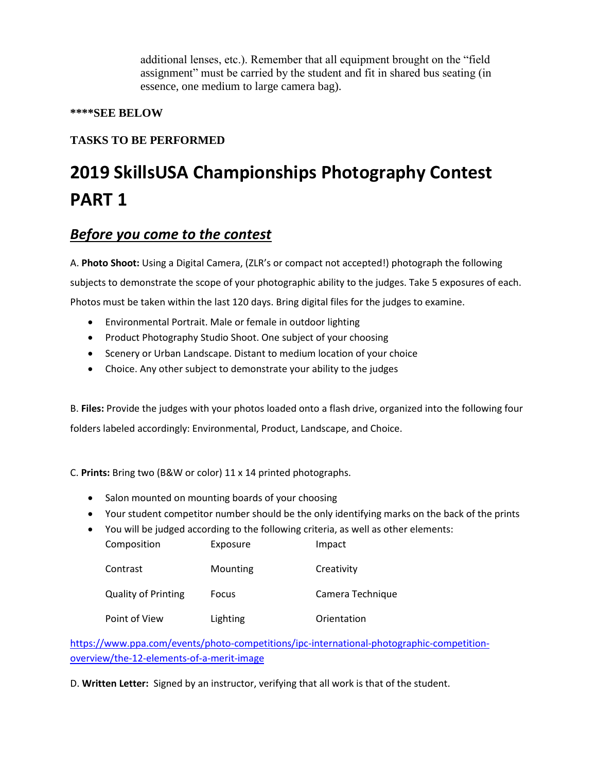additional lenses, etc.). Remember that all equipment brought on the "field assignment" must be carried by the student and fit in shared bus seating (in essence, one medium to large camera bag).

# **\*\*\*\*SEE BELOW**

# **TASKS TO BE PERFORMED**

# **2019 SkillsUSA Championships Photography Contest PART 1**

# *Before you come to the contest*

A. **Photo Shoot:** Using a Digital Camera, (ZLR's or compact not accepted!) photograph the following subjects to demonstrate the scope of your photographic ability to the judges. Take 5 exposures of each. Photos must be taken within the last 120 days. Bring digital files for the judges to examine.

- Environmental Portrait. Male or female in outdoor lighting
- Product Photography Studio Shoot. One subject of your choosing
- Scenery or Urban Landscape. Distant to medium location of your choice
- Choice. Any other subject to demonstrate your ability to the judges

B. **Files:** Provide the judges with your photos loaded onto a flash drive, organized into the following four folders labeled accordingly: Environmental, Product, Landscape, and Choice.

C. **Prints:** Bring two (B&W or color) 11 x 14 printed photographs.

- Salon mounted on mounting boards of your choosing
- Your student competitor number should be the only identifying marks on the back of the prints
- You will be judged according to the following criteria, as well as other elements:

| Composition                | Exposure | Impact           |
|----------------------------|----------|------------------|
| Contrast                   | Mounting | Creativity       |
| <b>Quality of Printing</b> | Focus    | Camera Technique |
| Point of View              | Lighting | Orientation      |

[https://www.ppa.com/events/photo-competitions/ipc-international-photographic-competition](https://www.ppa.com/events/photo-competitions/ipc-international-photographic-competition-overview/the-12-elements-of-a-merit-image)[overview/the-12-elements-of-a-merit-image](https://www.ppa.com/events/photo-competitions/ipc-international-photographic-competition-overview/the-12-elements-of-a-merit-image)

D. **Written Letter:** Signed by an instructor, verifying that all work is that of the student.